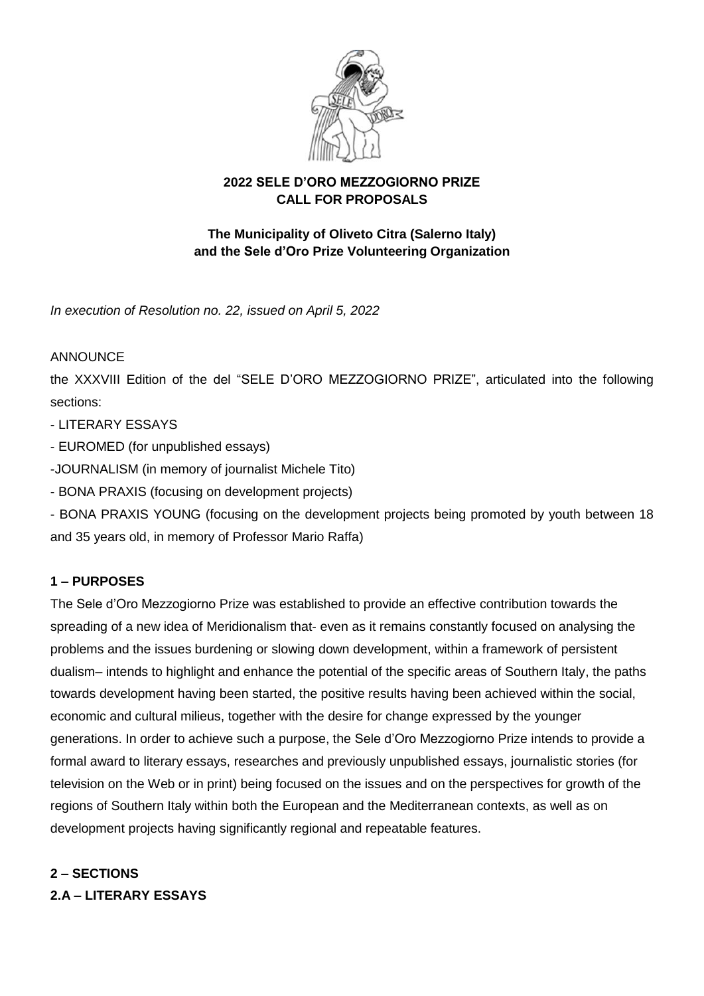

### **2022 SELE D'ORO MEZZOGIORNO PRIZE CALL FOR PROPOSALS**

### **The Municipality of Oliveto Citra (Salerno Italy) and the Sele d'Oro Prize Volunteering Organization**

*In execution of Resolution no. 22, issued on April 5, 2022*

### ANNOUNCE

the XXXVIII Edition of the del "SELE D'ORO MEZZOGIORNO PRIZE", articulated into the following sections:

- LITERARY ESSAYS
- EUROMED (for unpublished essays)
- -JOURNALISM (in memory of journalist Michele Tito)
- BONA PRAXIS (focusing on development projects)

- BONA PRAXIS YOUNG (focusing on the development projects being promoted by youth between 18 and 35 years old, in memory of Professor Mario Raffa)

### **1 – PURPOSES**

The Sele d'Oro Mezzogiorno Prize was established to provide an effective contribution towards the spreading of a new idea of Meridionalism that- even as it remains constantly focused on analysing the problems and the issues burdening or slowing down development, within a framework of persistent dualism– intends to highlight and enhance the potential of the specific areas of Southern Italy, the paths towards development having been started, the positive results having been achieved within the social, economic and cultural milieus, together with the desire for change expressed by the younger generations. In order to achieve such a purpose, the Sele d'Oro Mezzogiorno Prize intends to provide a formal award to literary essays, researches and previously unpublished essays, journalistic stories (for television on the Web or in print) being focused on the issues and on the perspectives for growth of the regions of Southern Italy within both the European and the Mediterranean contexts, as well as on development projects having significantly regional and repeatable features.

# **2 – SECTIONS**

**2.A – LITERARY ESSAYS**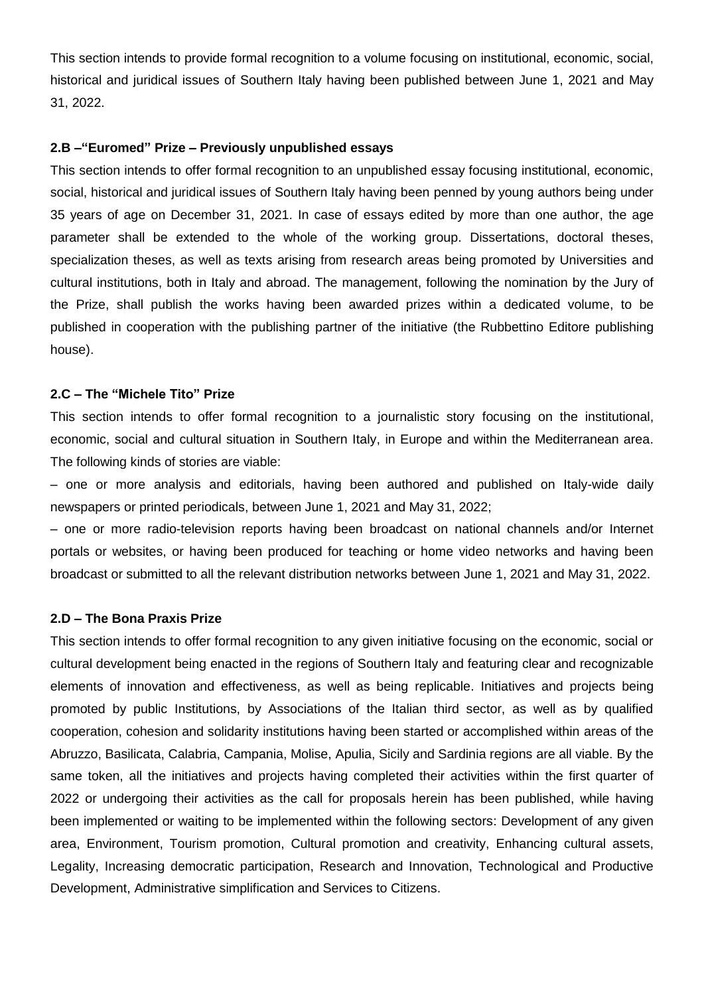This section intends to provide formal recognition to a volume focusing on institutional, economic, social, historical and juridical issues of Southern Italy having been published between June 1, 2021 and May 31, 2022.

#### **2.B –"Euromed" Prize – Previously unpublished essays**

This section intends to offer formal recognition to an unpublished essay focusing institutional, economic, social, historical and juridical issues of Southern Italy having been penned by young authors being under 35 years of age on December 31, 2021. In case of essays edited by more than one author, the age parameter shall be extended to the whole of the working group. Dissertations, doctoral theses, specialization theses, as well as texts arising from research areas being promoted by Universities and cultural institutions, both in Italy and abroad. The management, following the nomination by the Jury of the Prize, shall publish the works having been awarded prizes within a dedicated volume, to be published in cooperation with the publishing partner of the initiative (the Rubbettino Editore publishing house).

#### **2.C – The "Michele Tito" Prize**

This section intends to offer formal recognition to a journalistic story focusing on the institutional, economic, social and cultural situation in Southern Italy, in Europe and within the Mediterranean area. The following kinds of stories are viable:

– one or more analysis and editorials, having been authored and published on Italy-wide daily newspapers or printed periodicals, between June 1, 2021 and May 31, 2022;

– one or more radio-television reports having been broadcast on national channels and/or Internet portals or websites, or having been produced for teaching or home video networks and having been broadcast or submitted to all the relevant distribution networks between June 1, 2021 and May 31, 2022.

#### **2.D – The Bona Praxis Prize**

This section intends to offer formal recognition to any given initiative focusing on the economic, social or cultural development being enacted in the regions of Southern Italy and featuring clear and recognizable elements of innovation and effectiveness, as well as being replicable. Initiatives and projects being promoted by public Institutions, by Associations of the Italian third sector, as well as by qualified cooperation, cohesion and solidarity institutions having been started or accomplished within areas of the Abruzzo, Basilicata, Calabria, Campania, Molise, Apulia, Sicily and Sardinia regions are all viable. By the same token, all the initiatives and projects having completed their activities within the first quarter of 2022 or undergoing their activities as the call for proposals herein has been published, while having been implemented or waiting to be implemented within the following sectors: Development of any given area, Environment, Tourism promotion, Cultural promotion and creativity, Enhancing cultural assets, Legality, Increasing democratic participation, Research and Innovation, Technological and Productive Development, Administrative simplification and Services to Citizens.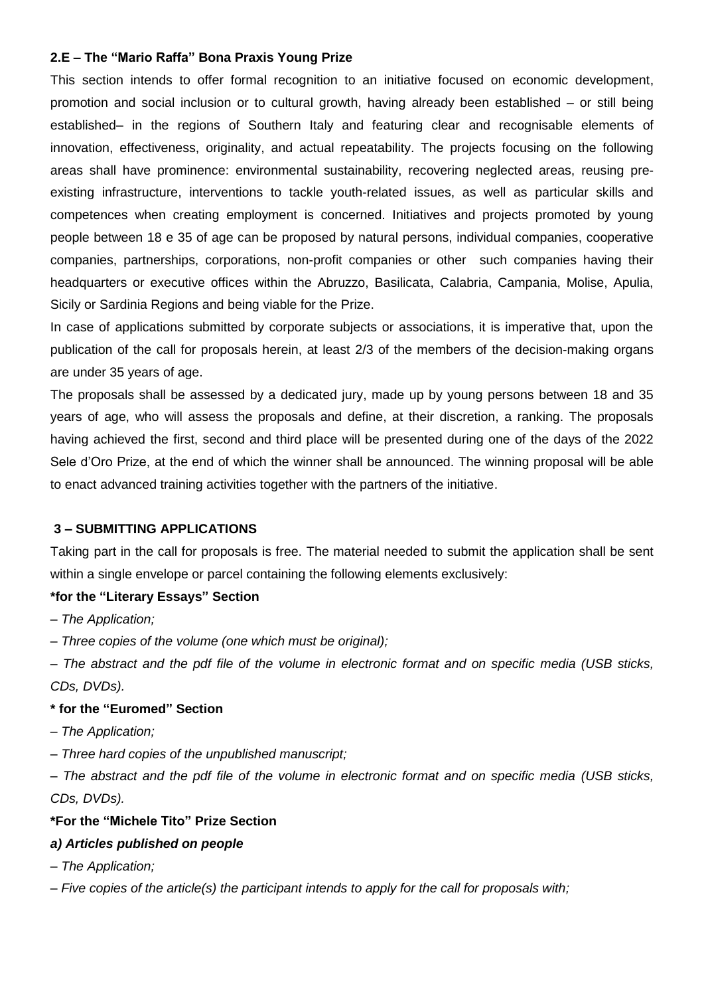### **2.E – The "Mario Raffa" Bona Praxis Young Prize**

This section intends to offer formal recognition to an initiative focused on economic development, promotion and social inclusion or to cultural growth, having already been established – or still being established– in the regions of Southern Italy and featuring clear and recognisable elements of innovation, effectiveness, originality, and actual repeatability. The projects focusing on the following areas shall have prominence: environmental sustainability, recovering neglected areas, reusing preexisting infrastructure, interventions to tackle youth-related issues, as well as particular skills and competences when creating employment is concerned. Initiatives and projects promoted by young people between 18 e 35 of age can be proposed by natural persons, individual companies, cooperative companies, partnerships, corporations, non-profit companies or other such companies having their headquarters or executive offices within the Abruzzo, Basilicata, Calabria, Campania, Molise, Apulia, Sicily or Sardinia Regions and being viable for the Prize.

In case of applications submitted by corporate subjects or associations, it is imperative that, upon the publication of the call for proposals herein, at least 2/3 of the members of the decision-making organs are under 35 years of age.

The proposals shall be assessed by a dedicated jury, made up by young persons between 18 and 35 years of age, who will assess the proposals and define, at their discretion, a ranking. The proposals having achieved the first, second and third place will be presented during one of the days of the 2022 Sele d'Oro Prize, at the end of which the winner shall be announced. The winning proposal will be able to enact advanced training activities together with the partners of the initiative.

### **3 – SUBMITTING APPLICATIONS**

Taking part in the call for proposals is free. The material needed to submit the application shall be sent within a single envelope or parcel containing the following elements exclusively:

#### **\*for the "Literary Essays" Section**

*– The Application;*

*– Three copies of the volume (one which must be original);*

*– The abstract and the pdf file of the volume in electronic format and on specific media (USB sticks, CDs, DVDs).*

### **\* for the "Euromed" Section**

*– The Application;*

*– Three hard copies of the unpublished manuscript;*

*– The abstract and the pdf file of the volume in electronic format and on specific media (USB sticks, CDs, DVDs).*

### **\*For the "Michele Tito" Prize Section**

#### *a) Articles published on people*

*– The Application;*

*– Five copies of the article(s) the participant intends to apply for the call for proposals with;*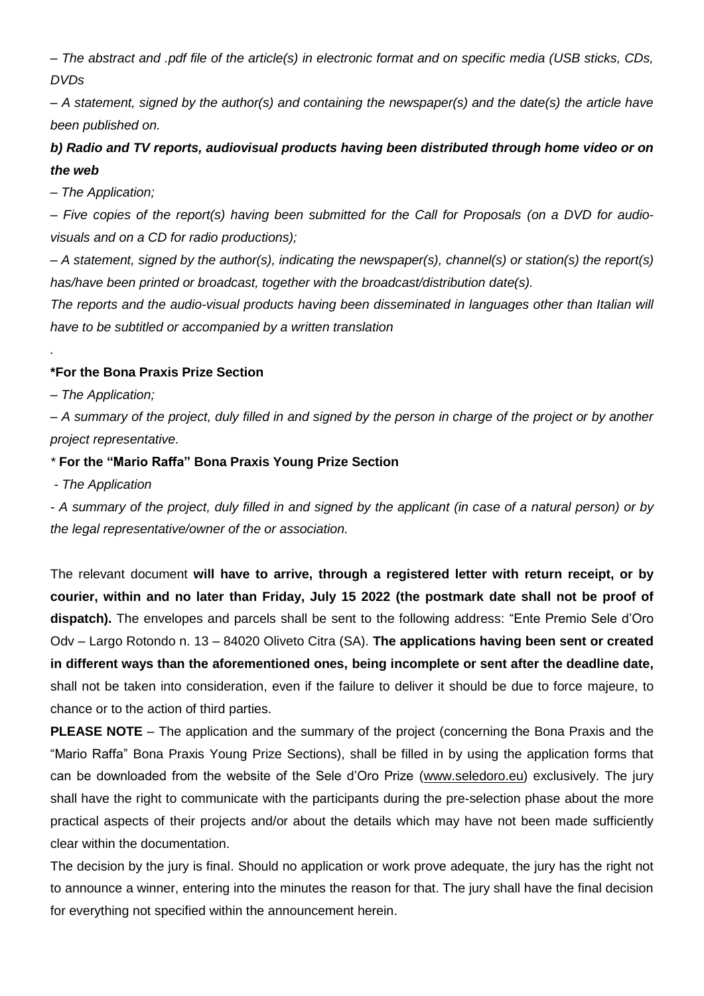*– The abstract and .pdf file of the article(s) in electronic format and on specific media (USB sticks, CDs, DVDs*

*– A statement, signed by the author(s) and containing the newspaper(s) and the date(s) the article have been published on.*

## *b) Radio and TV reports, audiovisual products having been distributed through home video or on the web*

*– The Application;*

*– Five copies of the report(s) having been submitted for the Call for Proposals (on a DVD for audiovisuals and on a CD for radio productions);*

*– A statement, signed by the author(s), indicating the newspaper(s), channel(s) or station(s) the report(s) has/have been printed or broadcast, together with the broadcast/distribution date(s).*

*The reports and the audio-visual products having been disseminated in languages other than Italian will have to be subtitled or accompanied by a written translation*

### **\*For the Bona Praxis Prize Section**

*– The Application;*

*.*

*– A summary of the project, duly filled in and signed by the person in charge of the project or by another project representative.*

### *\** **For the "Mario Raffa" Bona Praxis Young Prize Section**

*- The Application*

*- A summary of the project, duly filled in and signed by the applicant (in case of a natural person) or by the legal representative/owner of the or association.*

The relevant document **will have to arrive, through a registered letter with return receipt, or by courier, within and no later than Friday, July 15 2022 (the postmark date shall not be proof of dispatch).** The envelopes and parcels shall be sent to the following address: "Ente Premio Sele d'Oro Odv – Largo Rotondo n. 13 – 84020 Oliveto Citra (SA). **The applications having been sent or created in different ways than the aforementioned ones, being incomplete or sent after the deadline date,** shall not be taken into consideration, even if the failure to deliver it should be due to force majeure, to chance or to the action of third parties.

**PLEASE NOTE** – The application and the summary of the project (concerning the Bona Praxis and the "Mario Raffa" Bona Praxis Young Prize Sections), shall be filled in by using the application forms that can be downloaded from the website of the Sele d'Oro Prize [\(www.seledoro.eu\)](http://www.seledoro.eu/) exclusively. The jury shall have the right to communicate with the participants during the pre-selection phase about the more practical aspects of their projects and/or about the details which may have not been made sufficiently clear within the documentation.

The decision by the jury is final. Should no application or work prove adequate, the jury has the right not to announce a winner, entering into the minutes the reason for that. The jury shall have the final decision for everything not specified within the announcement herein.